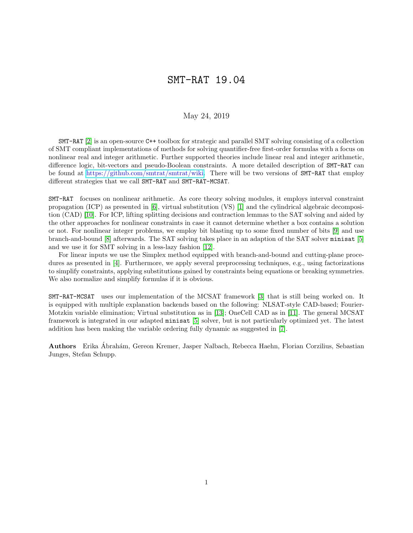## SMT-RAT 19.04

## May 24, 2019

SMT-RAT [\[2\]](#page-1-0) is an open-source C++ toolbox for strategic and parallel SMT solving consisting of a collection of SMT compliant implementations of methods for solving quantifier-free first-order formulas with a focus on nonlinear real and integer arithmetic. Further supported theories include linear real and integer arithmetic, difference logic, bit-vectors and pseudo-Boolean constraints. A more detailed description of SMT-RAT can be found at [https://github.com/smtrat/smtrat/wiki.](https://github.com/smtrat/smtrat/wiki) There will be two versions of SMT-RAT that employ different strategies that we call SMT-RAT and SMT-RAT-MCSAT.

SMT-RAT focuses on nonlinear arithmetic. As core theory solving modules, it employs interval constraint propagation (ICP) as presented in [\[6\]](#page-1-1), virtual substitution (VS) [\[1\]](#page-1-2) and the cylindrical algebraic decomposition (CAD) [\[10\]](#page-1-3). For ICP, lifting splitting decisions and contraction lemmas to the SAT solving and aided by the other approaches for nonlinear constraints in case it cannot determine whether a box contains a solution or not. For nonlinear integer problems, we employ bit blasting up to some fixed number of bits [\[9\]](#page-1-4) and use branch-and-bound [\[8\]](#page-1-5) afterwards. The SAT solving takes place in an adaption of the SAT solver minisat [\[5\]](#page-1-6) and we use it for SMT solving in a less-lazy fashion [\[12\]](#page-1-7).

For linear inputs we use the Simplex method equipped with branch-and-bound and cutting-plane procedures as presented in [\[4\]](#page-1-8). Furthermore, we apply several preprocessing techniques, e.g., using factorizations to simplify constraints, applying substitutions gained by constraints being equations or breaking symmetries. We also normalize and simplify formulas if it is obvious.

SMT-RAT-MCSAT uses our implementation of the MCSAT framework [\[3\]](#page-1-9) that is still being worked on. It is equipped with multiple explanation backends based on the following: NLSAT-style CAD-based; Fourier-Motzkin variable elimination; Virtual substitution as in [\[13\]](#page-1-10); OneCell CAD as in [\[11\]](#page-1-11). The general MCSAT framework is integrated in our adapted minisat [\[5\]](#page-1-6) solver, but is not particularly optimized yet. The latest addition has been making the variable ordering fully dynamic as suggested in [\[7\]](#page-1-12).

Authors Erika Abrah´am, Gereon Kremer, Jasper Nalbach, Rebecca Haehn, Florian Corzilius, Sebastian ´ Junges, Stefan Schupp.